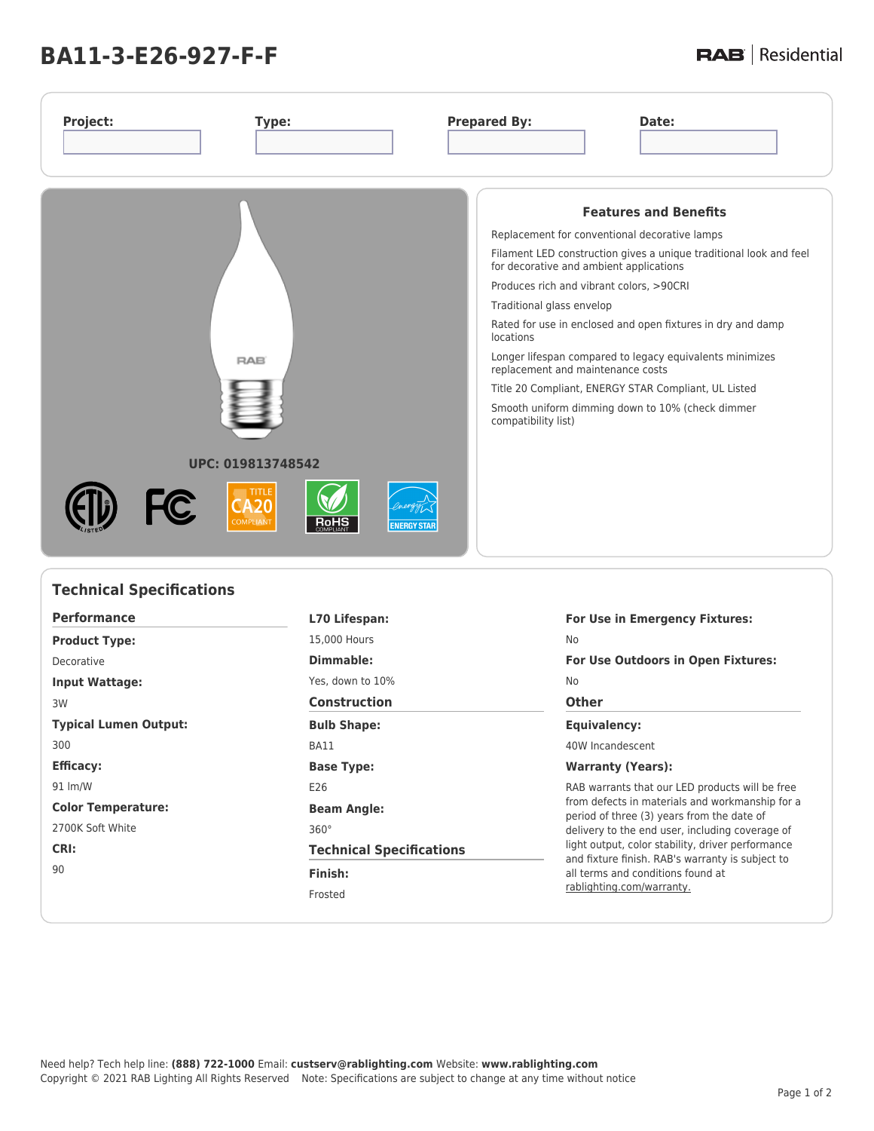# **BA11-3-E26-927-F-F**

**Technical Specifications**

## **RAB** | Residential

| Project:<br>Type:                                                           | <b>Prepared By:</b><br>Date:                                                                                                                                                                                                                                                                                                                                                                                                                                                                                                                                                            |
|-----------------------------------------------------------------------------|-----------------------------------------------------------------------------------------------------------------------------------------------------------------------------------------------------------------------------------------------------------------------------------------------------------------------------------------------------------------------------------------------------------------------------------------------------------------------------------------------------------------------------------------------------------------------------------------|
| <b>RAB</b><br>UPC: 019813748542                                             | <b>Features and Benefits</b><br>Replacement for conventional decorative lamps<br>Filament LED construction gives a unique traditional look and feel<br>for decorative and ambient applications<br>Produces rich and vibrant colors, >90CRI<br>Traditional glass envelop<br>Rated for use in enclosed and open fixtures in dry and damp<br>locations<br>Longer lifespan compared to legacy equivalents minimizes<br>replacement and maintenance costs<br>Title 20 Compliant, ENERGY STAR Compliant, UL Listed<br>Smooth uniform dimming down to 10% (check dimmer<br>compatibility list) |
| TITLE<br><b>FC</b><br><b>COMPLIANT</b><br><b>RoHS</b><br><b>ENERGY STAR</b> |                                                                                                                                                                                                                                                                                                                                                                                                                                                                                                                                                                                         |

| <b>Performance</b>           | For Use in Emergency Fixtures:<br>L70 Lifespan: |                                                                                                                                                                                                                                                           |  |  |
|------------------------------|-------------------------------------------------|-----------------------------------------------------------------------------------------------------------------------------------------------------------------------------------------------------------------------------------------------------------|--|--|
| <b>Product Type:</b>         | 15,000 Hours                                    | <b>No</b>                                                                                                                                                                                                                                                 |  |  |
| Decorative                   | Dimmable:                                       | <b>For Use Outdoors in Open Fixtures:</b>                                                                                                                                                                                                                 |  |  |
| <b>Input Wattage:</b>        | Yes, down to 10%                                | No                                                                                                                                                                                                                                                        |  |  |
| 3W                           | <b>Construction</b><br><b>Other</b>             |                                                                                                                                                                                                                                                           |  |  |
| <b>Typical Lumen Output:</b> | <b>Bulb Shape:</b>                              | Equivalency:                                                                                                                                                                                                                                              |  |  |
| 300                          | BA11                                            | 40W Incandescent                                                                                                                                                                                                                                          |  |  |
| <b>Efficacy:</b>             | <b>Base Type:</b>                               | <b>Warranty (Years):</b>                                                                                                                                                                                                                                  |  |  |
| 91 lm/W                      | E26                                             | RAB warrants that our LED products will be free                                                                                                                                                                                                           |  |  |
| <b>Color Temperature:</b>    | <b>Beam Angle:</b>                              | from defects in materials and workmanship for a<br>period of three (3) years from the date of<br>delivery to the end user, including coverage of<br>light output, color stability, driver performance<br>and fixture finish. RAB's warranty is subject to |  |  |
| 2700K Soft White             | $360^\circ$                                     |                                                                                                                                                                                                                                                           |  |  |
| CRI:                         | <b>Technical Specifications</b>                 |                                                                                                                                                                                                                                                           |  |  |
| 90                           | Finish:                                         | all terms and conditions found at<br>rablighting.com/warranty.                                                                                                                                                                                            |  |  |
|                              | Frosted                                         |                                                                                                                                                                                                                                                           |  |  |